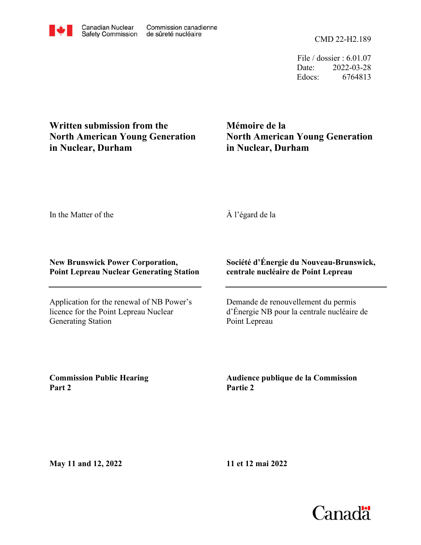CMD 22-H2.189

File / dossier : 6.01.07 Date: 2022-03-28 Edocs: 6764813

# **Written submission from the North American Young Generation in Nuclear, Durham**

# **Mémoire de la North American Young Generation in Nuclear, Durham**

In the Matter of the

# À l'égard de la

## **New Brunswick Power Corporation, Point Lepreau Nuclear Generating Station**

Application for the renewal of NB Power's licence for the Point Lepreau Nuclear Generating Station

## **Société d'Énergie du Nouveau-Brunswick, centrale nucléaire de Point Lepreau**

Demande de renouvellement du permis d'Énergie NB pour la centrale nucléaire de Point Lepreau

**Commission Public Hearing Part 2**

**Audience publique de la Commission Partie 2**

**May 11 and 12, 2022**

**11 et 12 mai 2022**



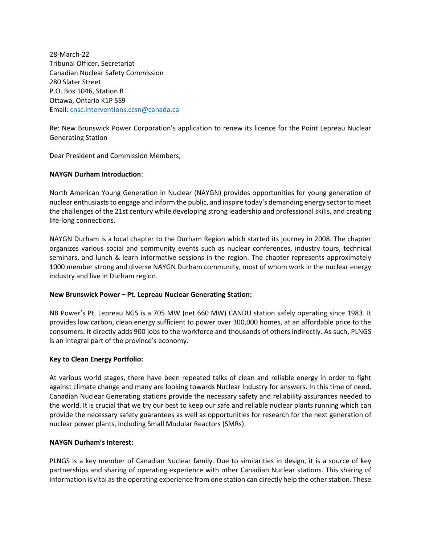28-March-22 Tribunal Officer, Secretariat Canadian Nuclear Safety Commission 280 Slater Street P.O. Box 1046, Station B Ottawa, Ontario K1P 5S9 Email: [cnsc.interventions.ccsn@canada.ca](mailto:cnsc.interventions.ccsn@canada.ca)

Re: New Brunswick Power Corporation's application to renew its licence for the Point Lepreau Nuclear Generating Station

Dear President and Commission Members,

#### **NAYGN Durham Introduction**:

North American Young Generation in Nuclear (NAYGN) provides opportunities for young generation of nuclear enthusiasts to engage and inform the public, and inspire today's demanding energy sector to meet the challenges of the 21st century while developing strong leadership and professional skills, and creating life-long connections.

NAYGN Durham is a local chapter to the Durham Region which started its journey in 2008. The chapter organizes various social and community events such as nuclear conferences, industry tours, technical seminars, and lunch & learn informative sessions in the region. The chapter represents approximately 1000 member strong and diverse NAYGN Durham community, most of whom work in the nuclear energy industry and live in Durham region.

#### **New Brunswick Power – Pt. Lepreau Nuclear Generating Station:**

NB Power's Pt. Lepreau NGS is a 705 MW (net 660 MW) CANDU station safely operating since 1983. It provides low carbon, clean energy sufficient to power over 300,000 homes, at an affordable price to the consumers. It directly adds 900 jobs to the workforce and thousands of others indirectly. As such, PLNGS is an integral part of the province's economy.

### **Key to Clean Energy Portfolio:**

At various world stages, there have been repeated talks of clean and reliable energy in order to fight against climate change and many are looking towards Nuclear Industry for answers. In this time of need, Canadian Nuclear Generating stations provide the necessary safety and reliability assurances needed to the world. It is crucial that we try our best to keep our safe and reliable nuclear plants running which can provide the necessary safety guarantees as well as opportunities for research for the next generation of nuclear power plants, including Small Modular Reactors (SMRs).

#### **NAYGN Durham's Interest:**

PLNGS is a key member of Canadian Nuclear family. Due to similarities in design, it is a source of key partnerships and sharing of operating experience with other Canadian Nuclear stations. This sharing of information is vital as the operating experience from one station can directly help the other station. These